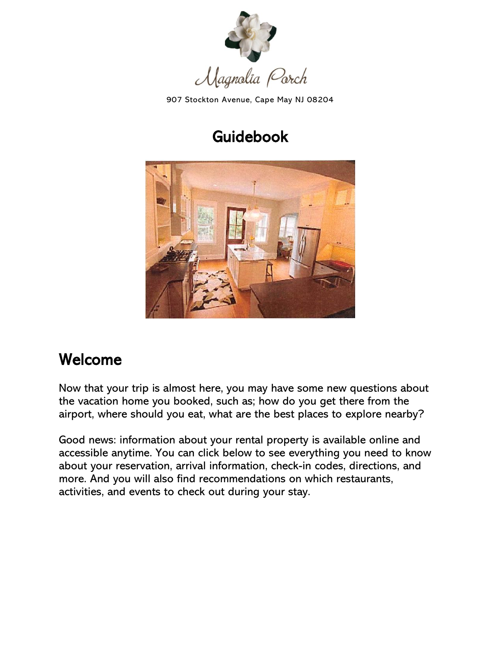

907 Stockton Avenue, Cape May NJ 08204

## Guidebook

<span id="page-0-0"></span>

### <span id="page-0-1"></span>Welcome

Now that your trip is almost here, you may have some new questions about the vacation home you booked, such as; how do you get there from the airport, where should you eat, what are the best places to explore nearby?

Good news: information about your rental property is available online and accessible anytime. You can click below to see everything you need to know about your reservation, arrival information, check-in codes, directions, and more. And you will also find recommendations on which restaurants, activities, and events to check out during your stay.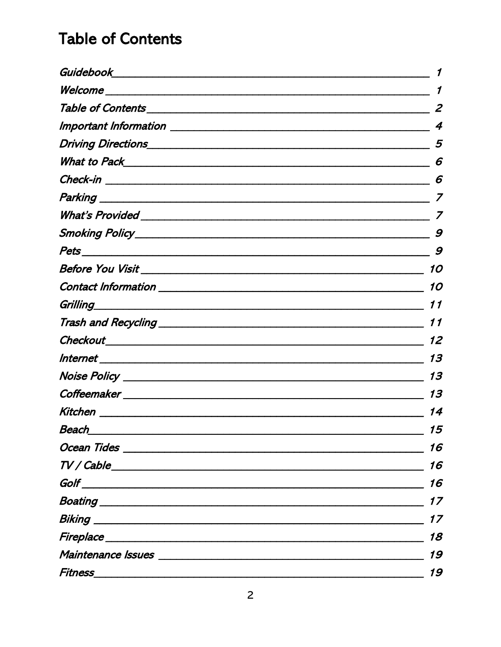### <span id="page-1-0"></span>**Table of Contents**

|                                                                                                                       | 2  |
|-----------------------------------------------------------------------------------------------------------------------|----|
|                                                                                                                       | 4  |
|                                                                                                                       | 5  |
|                                                                                                                       | 6  |
|                                                                                                                       | 6  |
|                                                                                                                       |    |
|                                                                                                                       |    |
|                                                                                                                       | 9  |
|                                                                                                                       | 9  |
|                                                                                                                       | 10 |
| <b>Contact Information contract in the contract of the contract of the contract of the contract of the contract o</b> | 10 |
|                                                                                                                       | 11 |
|                                                                                                                       | 11 |
|                                                                                                                       | 12 |
|                                                                                                                       | 13 |
|                                                                                                                       | 13 |
|                                                                                                                       | 13 |
| Kitchen ____________________                                                                                          | 14 |
| <u>Beach</u>                                                                                                          | 15 |
|                                                                                                                       | 16 |
|                                                                                                                       | 16 |
|                                                                                                                       | 16 |
|                                                                                                                       | 17 |
|                                                                                                                       | 17 |
|                                                                                                                       | 18 |
|                                                                                                                       | 19 |
|                                                                                                                       | 19 |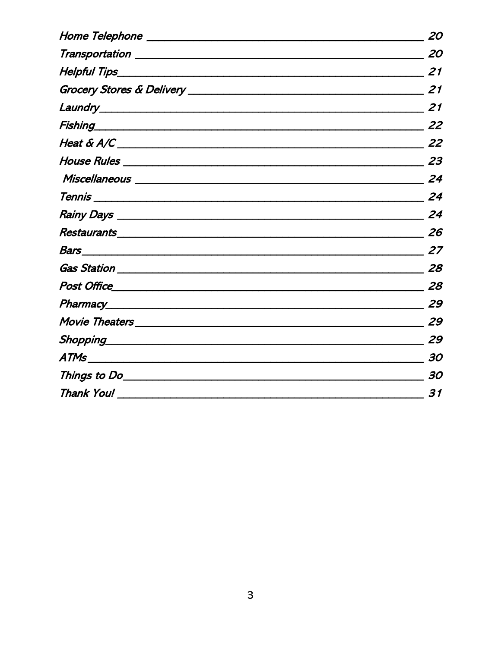| Home Telephone ________________                                                                                                                                                                                                     | 20 |
|-------------------------------------------------------------------------------------------------------------------------------------------------------------------------------------------------------------------------------------|----|
| Transportation ___________________                                                                                                                                                                                                  | 20 |
|                                                                                                                                                                                                                                     | 21 |
|                                                                                                                                                                                                                                     | 21 |
|                                                                                                                                                                                                                                     | 21 |
| <i>Fishing</i> Prime and the contract of the contract of the contract of the contract of the contract of the contract of the contract of the contract of the contract of the contract of the contract of the contract of the contra | 22 |
|                                                                                                                                                                                                                                     | 22 |
|                                                                                                                                                                                                                                     | 23 |
|                                                                                                                                                                                                                                     | 24 |
|                                                                                                                                                                                                                                     | 24 |
|                                                                                                                                                                                                                                     | 24 |
|                                                                                                                                                                                                                                     | 26 |
|                                                                                                                                                                                                                                     | 27 |
|                                                                                                                                                                                                                                     | 28 |
|                                                                                                                                                                                                                                     | 28 |
|                                                                                                                                                                                                                                     | 29 |
|                                                                                                                                                                                                                                     | 29 |
| Shopping____________________                                                                                                                                                                                                        | 29 |
|                                                                                                                                                                                                                                     | 30 |
|                                                                                                                                                                                                                                     | 30 |
| Thank You!                                                                                                                                                                                                                          | 31 |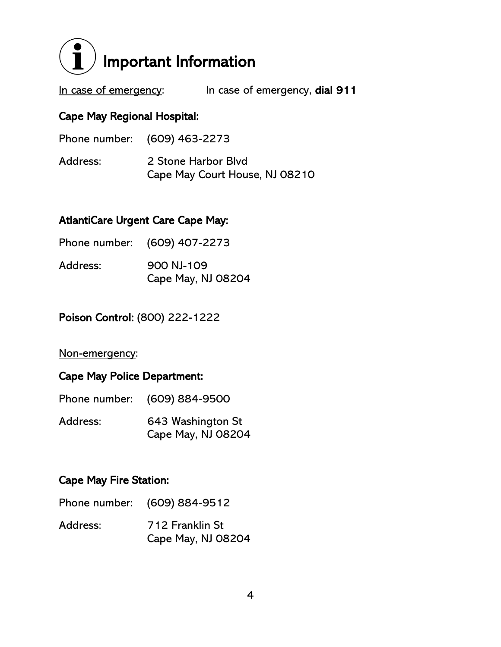<span id="page-3-0"></span>

In case of emergency: In case of emergency, dial 911

#### Cape May Regional Hospital:

| Phone number: (609) 463-2273 |                                                       |
|------------------------------|-------------------------------------------------------|
| Address:                     | 2 Stone Harbor Blyd<br>Cape May Court House, NJ 08210 |

#### AtlantiCare Urgent Care Cape May:

|          | Phone number: (609) 407-2273     |
|----------|----------------------------------|
| Address: | 900 NJ-109<br>Cape May, NJ 08204 |

Poison Control: (800) 222-1222

#### Non-emergency:

### Cape May Police Department:

| Phone number: | (609) 884-9500                          |
|---------------|-----------------------------------------|
| Address:      | 643 Washington St<br>Cape May, NJ 08204 |

#### Cape May Fire Station:

| Phone number: | (609) 884-9512 |
|---------------|----------------|
|---------------|----------------|

Address: 712 Franklin St Cape May, NJ 08204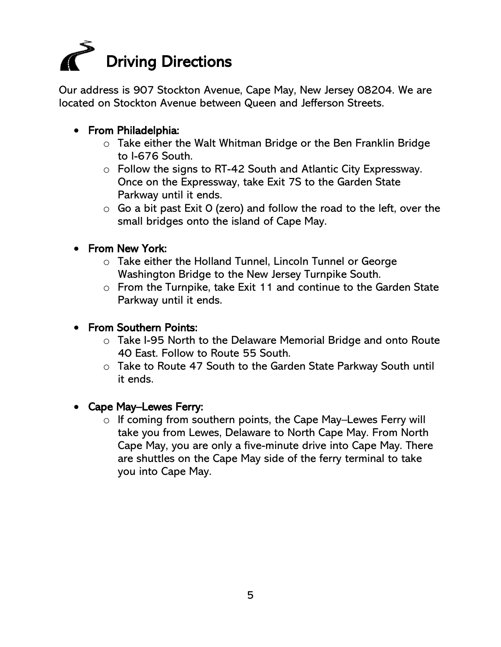<span id="page-4-0"></span>

Our address is 907 Stockton Avenue, Cape May, New Jersey 08204. We are located on Stockton Avenue between Queen and Jefferson Streets.

#### • From Philadelphia:

- o Take either the Walt Whitman Bridge or the Ben Franklin Bridge to I-676 South.
- o Follow the signs to RT-42 South and Atlantic City Expressway. Once on the Expressway, take Exit 7S to the Garden State Parkway until it ends.
- $\circ$  Go a bit past Exit O (zero) and follow the road to the left, over the small bridges onto the island of Cape May.
- From New York:
	- o Take either the Holland Tunnel, Lincoln Tunnel or George Washington Bridge to the New Jersey Turnpike South.
	- o From the Turnpike, take Exit 11 and continue to the Garden State Parkway until it ends.

#### • From Southern Points:

- o Take I-95 North to the Delaware Memorial Bridge and onto Route 40 East. Follow to Route 55 South.
- o Take to Route 47 South to the Garden State Parkway South until it ends.
- Cape May–Lewes Ferry:
	- o If coming from southern points, the Cape May–Lewes Ferry will take you from Lewes, Delaware to North Cape May. From North Cape May, you are only a five-minute drive into Cape May. There are shuttles on the Cape May side of the ferry terminal to take you into Cape May.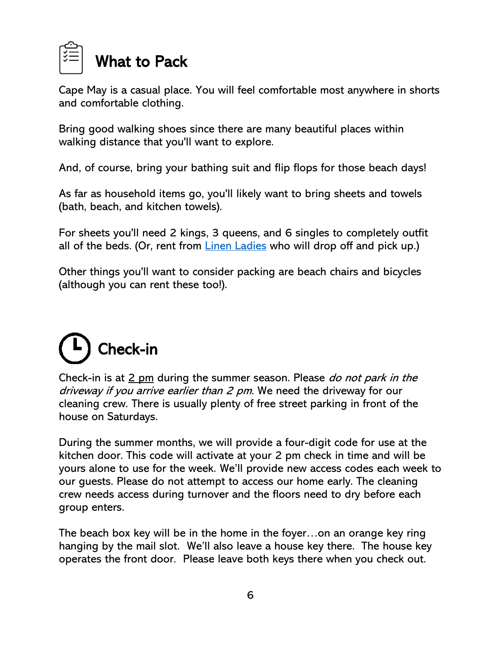<span id="page-5-0"></span>

Cape May is a casual place. You will feel comfortable most anywhere in shorts and comfortable clothing.

Bring good walking shoes since there are many beautiful places within walking distance that you'll want to explore.

And, of course, bring your bathing suit and flip flops for those beach days!

As far as household items go, you'll likely want to bring sheets and towels (bath, beach, and kitchen towels).

For sheets you'll need 2 kings, 3 queens, and 6 singles to completely outfit all of the beds. (Or, rent from [Linen Ladies](https://linenladies.com/) who will drop off and pick up.)

Other things you'll want to consider packing are beach chairs and bicycles (although you can rent these too!).

# <span id="page-5-1"></span>Check-in

Check-in is at 2 pm during the summer season. Please do not park in the driveway if you arrive earlier than 2 pm. We need the driveway for our cleaning crew. There is usually plenty of free street parking in front of the house on Saturdays.

During the summer months, we will provide a four-digit code for use at the kitchen door. This code will activate at your 2 pm check in time and will be yours alone to use for the week. We'll provide new access codes each week to our guests. Please do not attempt to access our home early. The cleaning crew needs access during turnover and the floors need to dry before each group enters.

The beach box key will be in the home in the foyer…on an orange key ring hanging by the mail slot. We'll also leave a house key there. The house key operates the front door. Please leave both keys there when you check out.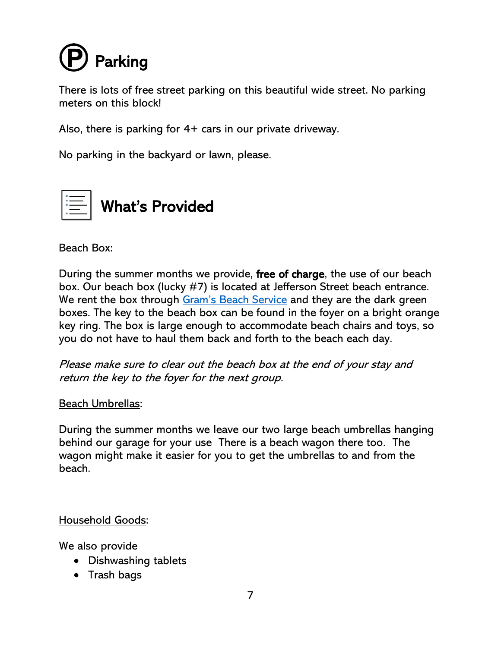<span id="page-6-0"></span>

There is lots of free street parking on this beautiful wide street. No parking meters on this block!

Also, there is parking for 4+ cars in our private driveway.

No parking in the backyard or lawn, please.

<span id="page-6-1"></span>

#### Beach Box:

During the summer months we provide, free of charge, the use of our beach box. Our beach box (lucky #7) is located at Jefferson Street beach entrance. We rent the box through [Gram's Beach Service](http://www.gramsbeachservice.com/home.html) and they are the dark green boxes. The key to the beach box can be found in the foyer on a bright orange key ring. The box is large enough to accommodate beach chairs and toys, so you do not have to haul them back and forth to the beach each day.

Please make sure to clear out the beach box at the end of your stay and return the key to the foyer for the next group.

#### Beach Umbrellas:

During the summer months we leave our two large beach umbrellas hanging behind our garage for your use There is a beach wagon there too. The wagon might make it easier for you to get the umbrellas to and from the beach.

Household Goods:

We also provide

- Dishwashing tablets
- Trash bags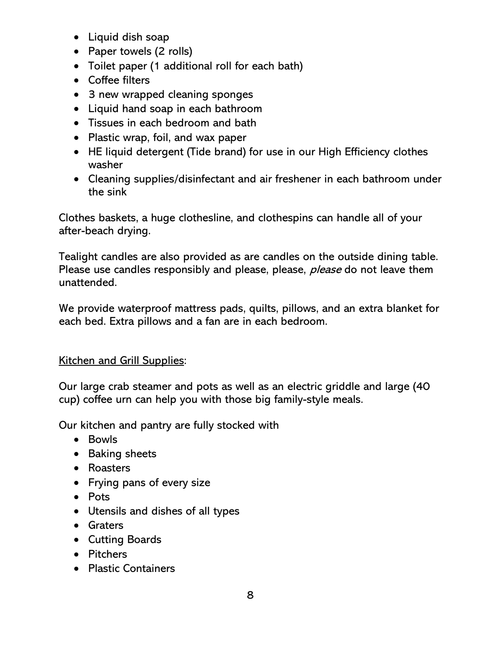- Liquid dish soap
- Paper towels (2 rolls)
- Toilet paper (1 additional roll for each bath)
- Coffee filters
- 3 new wrapped cleaning sponges
- Liquid hand soap in each bathroom
- Tissues in each bedroom and bath
- Plastic wrap, foil, and wax paper
- HE liquid detergent (Tide brand) for use in our High Efficiency clothes washer
- Cleaning supplies/disinfectant and air freshener in each bathroom under the sink

Clothes baskets, a huge clothesline, and clothespins can handle all of your after-beach drying.

Tealight candles are also provided as are candles on the outside dining table. Please use candles responsibly and please, please, *please* do not leave them unattended.

We provide waterproof mattress pads, quilts, pillows, and an extra blanket for each bed. Extra pillows and a fan are in each bedroom.

#### Kitchen and Grill Supplies:

Our large crab steamer and pots as well as an electric griddle and large (40 cup) coffee urn can help you with those big family-style meals.

Our kitchen and pantry are fully stocked with

- Bowls
- Baking sheets
- Roasters
- Frying pans of every size
- Pots
- Utensils and dishes of all types
- Graters
- Cutting Boards
- Pitchers
- Plastic Containers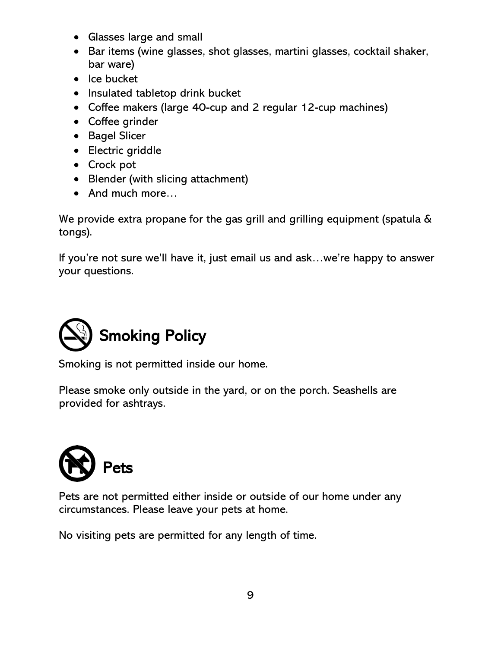- Glasses large and small
- Bar items (wine glasses, shot glasses, martini glasses, cocktail shaker, bar ware)
- Ice bucket
- Insulated tabletop drink bucket
- Coffee makers (large 40-cup and 2 regular 12-cup machines)
- Coffee grinder
- Bagel Slicer
- Electric griddle
- Crock pot
- Blender (with slicing attachment)
- And much more...

We provide extra propane for the gas grill and grilling equipment (spatula & tongs).

If you're not sure we'll have it, just email us and ask…we're happy to answer your questions.

<span id="page-8-0"></span>

Smoking is not permitted inside our home.

Please smoke only outside in the yard, or on the porch. Seashells are provided for ashtrays.

<span id="page-8-1"></span>

Pets are not permitted either inside or outside of our home under any circumstances. Please leave your pets at home.

No visiting pets are permitted for any length of time.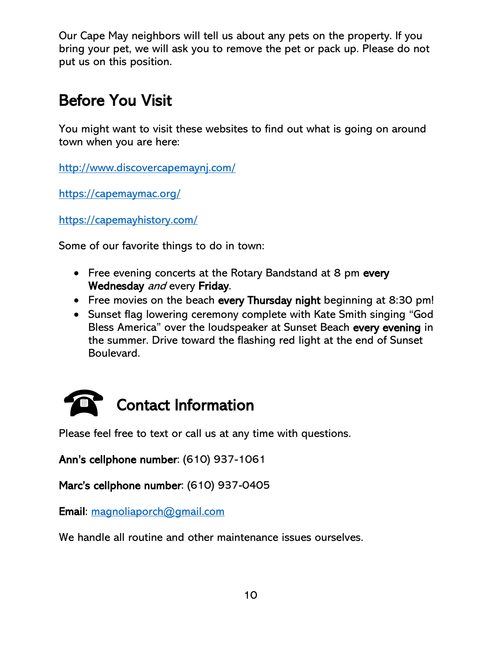Our Cape May neighbors will tell us about any pets on the property. If you bring your pet, we will ask you to remove the pet or pack up. Please do not put us on this position.

## <span id="page-9-0"></span>Before You Visit

You might want to visit these websites to find out what is going on around town when you are here:

<http://www.discovercapemaynj.com/>

<https://capemaymac.org/>

<https://capemayhistory.com/>

Some of our favorite things to do in town:

- Free evening concerts at the Rotary Bandstand at 8 pm every Wednesday and every Friday.
- Free movies on the beach every Thursday night beginning at 8:30 pm!
- Sunset flag lowering ceremony complete with Kate Smith singing "God Bless America" over the loudspeaker at Sunset Beach every evening in the summer. Drive toward the flashing red light at the end of Sunset Boulevard.

<span id="page-9-1"></span>

Please feel free to text or call us at any time with questions.

Ann's cellphone number: (610) 937-1061

Marc's cellphone number: (610) 937-0405

Email: [magnoliaporch@gmail.com](mailto:magnoliaporch@gmail.com)

We handle all routine and other maintenance issues ourselves.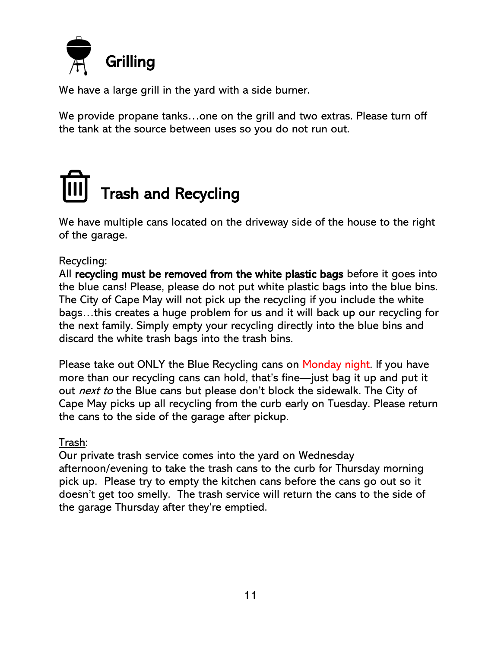<span id="page-10-0"></span>

We have a large grill in the yard with a side burner.

We provide propane tanks…one on the grill and two extras. Please turn off the tank at the source between uses so you do not run out.

# <span id="page-10-1"></span>Trash and Recycling

We have multiple cans located on the driveway side of the house to the right of the garage.

#### Recycling:

All recycling must be removed from the white plastic bags before it goes into the blue cans! Please, please do not put white plastic bags into the blue bins. The City of Cape May will not pick up the recycling if you include the white bags…this creates a huge problem for us and it will back up our recycling for the next family. Simply empty your recycling directly into the blue bins and discard the white trash bags into the trash bins.

Please take out ONLY the Blue Recycling cans on Monday night. If you have more than our recycling cans can hold, that's fine—just bag it up and put it out *next to* the Blue cans but please don't block the sidewalk. The City of Cape May picks up all recycling from the curb early on Tuesday. Please return the cans to the side of the garage after pickup.

#### Trash:

Our private trash service comes into the yard on Wednesday afternoon/evening to take the trash cans to the curb for Thursday morning pick up. Please try to empty the kitchen cans before the cans go out so it doesn't get too smelly. The trash service will return the cans to the side of the garage Thursday after they're emptied.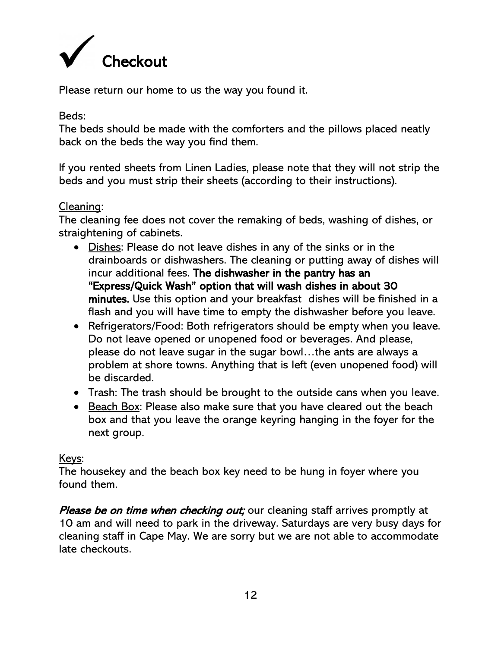<span id="page-11-0"></span>

Please return our home to us the way you found it.

#### Beds:

The beds should be made with the comforters and the pillows placed neatly back on the beds the way you find them.

If you rented sheets from Linen Ladies, please note that they will not strip the beds and you must strip their sheets (according to their instructions).

#### Cleaning:

The cleaning fee does not cover the remaking of beds, washing of dishes, or straightening of cabinets.

- Dishes: Please do not leave dishes in any of the sinks or in the drainboards or dishwashers. The cleaning or putting away of dishes will incur additional fees. The dishwasher in the pantry has an "Express/Quick Wash" option that will wash dishes in about 30 minutes. Use this option and your breakfast dishes will be finished in a flash and you will have time to empty the dishwasher before you leave.
- Refrigerators/Food: Both refrigerators should be empty when you leave. Do not leave opened or unopened food or beverages. And please, please do not leave sugar in the sugar bowl…the ants are always a problem at shore towns. Anything that is left (even unopened food) will be discarded.
- Trash: The trash should be brought to the outside cans when you leave.
- Beach Box: Please also make sure that you have cleared out the beach box and that you leave the orange keyring hanging in the foyer for the next group.

#### Keys:

The housekey and the beach box key need to be hung in foyer where you found them.

Please be on time when checking out; our cleaning staff arrives promptly at 10 am and will need to park in the driveway. Saturdays are very busy days for cleaning staff in Cape May. We are sorry but we are not able to accommodate late checkouts.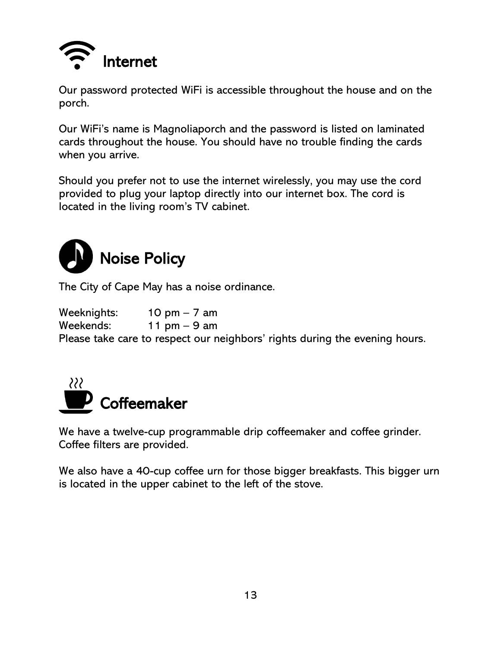<span id="page-12-0"></span>

Our password protected WiFi is accessible throughout the house and on the porch.

Our WiFi's name is Magnoliaporch and the password is listed on laminated cards throughout the house. You should have no trouble finding the cards when you arrive.

Should you prefer not to use the internet wirelessly, you may use the cord provided to plug your laptop directly into our internet box. The cord is located in the living room's TV cabinet.

<span id="page-12-1"></span>

The City of Cape May has a noise ordinance.

Weeknights: 10 pm – 7 am Weekends: 11 pm – 9 am Please take care to respect our neighbors' rights during the evening hours.

<span id="page-12-2"></span>

We have a twelve-cup programmable drip coffeemaker and coffee grinder. Coffee filters are provided.

We also have a 40-cup coffee urn for those bigger breakfasts. This bigger urn is located in the upper cabinet to the left of the stove.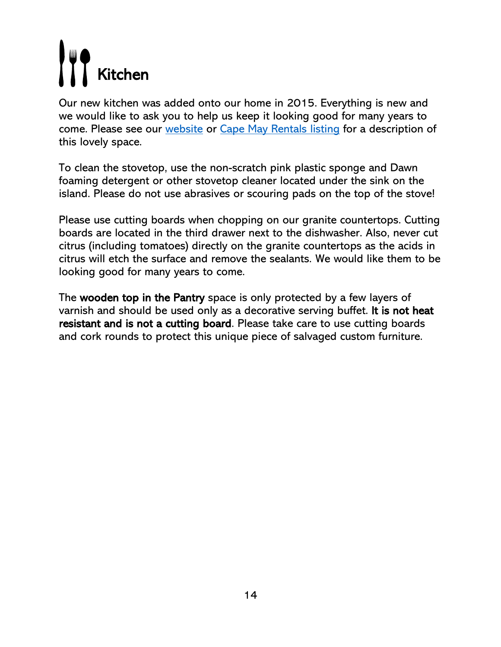# <span id="page-13-0"></span>Kitchen

Our new kitchen was added onto our home in 2015. Everything is new and we would like to ask you to help us keep it looking good for many years to come. Please see our [website](https://magnoliaporch.com/) or [Cape May Rentals listing](https://www.capemayrentals.com/properties/907-stockton-ave/) for a description of this lovely space.

To clean the stovetop, use the non-scratch pink plastic sponge and Dawn foaming detergent or other stovetop cleaner located under the sink on the island. Please do not use abrasives or scouring pads on the top of the stove!

Please use cutting boards when chopping on our granite countertops. Cutting boards are located in the third drawer next to the dishwasher. Also, never cut citrus (including tomatoes) directly on the granite countertops as the acids in citrus will etch the surface and remove the sealants. We would like them to be looking good for many years to come.

The wooden top in the Pantry space is only protected by a few layers of varnish and should be used only as a decorative serving buffet. It is not heat resistant and is not a cutting board. Please take care to use cutting boards and cork rounds to protect this unique piece of salvaged custom furniture.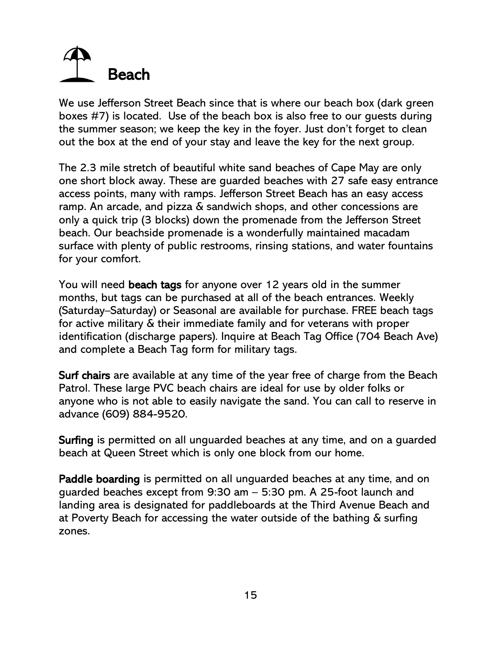# <span id="page-14-0"></span>Beach

We use Jefferson Street Beach since that is where our beach box (dark green boxes #7) is located. Use of the beach box is also free to our guests during the summer season; we keep the key in the foyer. Just don't forget to clean out the box at the end of your stay and leave the key for the next group.

The 2.3 mile stretch of beautiful white sand beaches of Cape May are only one short block away. These are guarded beaches with 27 safe easy entrance access points, many with ramps. Jefferson Street Beach has an easy access ramp. An arcade, and pizza & sandwich shops, and other concessions are only a quick trip (3 blocks) down the promenade from the Jefferson Street beach. Our beachside promenade is a wonderfully maintained macadam surface with plenty of public restrooms, rinsing stations, and water fountains for your comfort.

You will need beach tags for anyone over 12 years old in the summer months, but tags can be purchased at all of the beach entrances. Weekly (Saturday–Saturday) or Seasonal are available for purchase. FREE beach tags for active military & their immediate family and for veterans with proper identification (discharge papers). Inquire at Beach Tag Office (704 Beach Ave) and complete a Beach Tag form for military tags.

Surf chairs are available at any time of the year free of charge from the Beach Patrol. These large PVC beach chairs are ideal for use by older folks or anyone who is not able to easily navigate the sand. You can call to reserve in advance (609) 884-9520.

Surfing is permitted on all unguarded beaches at any time, and on a guarded beach at Queen Street which is only one block from our home.

Paddle boarding is permitted on all unguarded beaches at any time, and on guarded beaches except from 9:30 am – 5:30 pm. A 25-foot launch and landing area is designated for paddleboards at the Third Avenue Beach and at Poverty Beach for accessing the water outside of the bathing & surfing zones.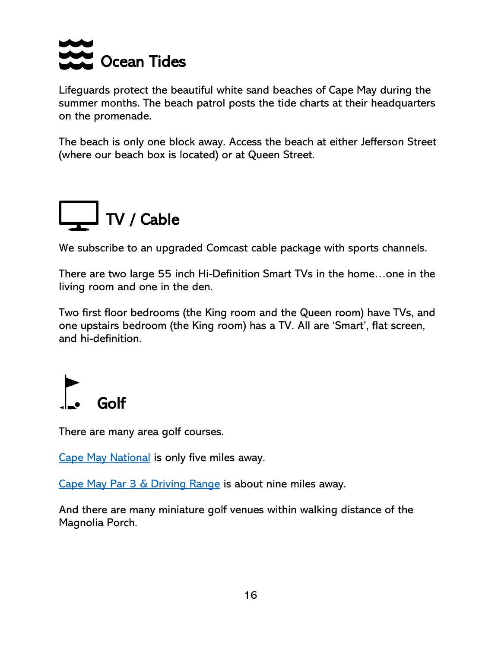<span id="page-15-0"></span>

Lifeguards protect the beautiful white sand beaches of Cape May during the summer months. The beach patrol posts the tide charts at their headquarters on the promenade.

The beach is only one block away. Access the beach at either Jefferson Street (where our beach box is located) or at Queen Street.

<span id="page-15-1"></span>

We subscribe to an upgraded Comcast cable package with sports channels.

There are two large 55 inch Hi-Definition Smart TVs in the home…one in the living room and one in the den.

Two first floor bedrooms (the King room and the Queen room) have TVs, and one upstairs bedroom (the King room) has a TV. All are 'Smart', flat screen, and hi-definition.

<span id="page-15-2"></span>

There are many area golf courses.

[Cape May National](https://www.cmngc.com/) is only five miles away.

[Cape May Par 3 & Driving Range](https://www.capemaypar3.com/) is about nine miles away.

And there are many miniature golf venues within walking distance of the Magnolia Porch.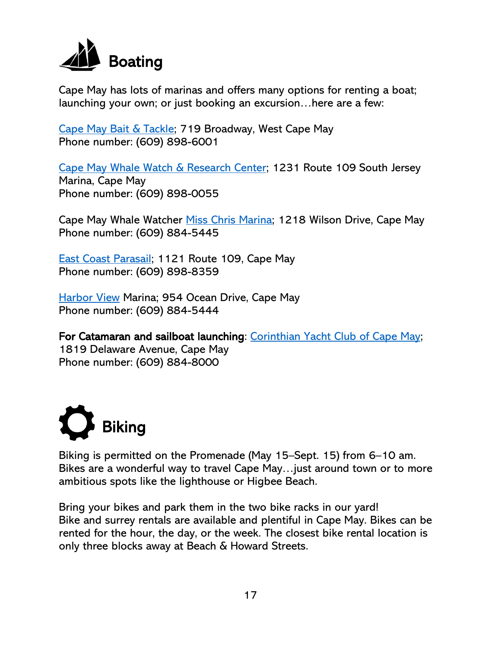<span id="page-16-0"></span>

Cape May has lots of marinas and offers many options for renting a boat; launching your own; or just booking an excursion…here are a few:

[Cape May Bait & Tackle;](https://capemaybaitandtackle.com/) 719 Broadway, West Cape May Phone number: (609) 898-6001

[Cape May Whale Watch & Research Center;](https://capemaywhalewatch.com/) 1231 Route 109 South Jersey Marina, Cape May Phone number: (609) 898-0055

Cape May Whale Watcher [Miss Chris Marina;](http://www.misschrismarina.com/whale-dolphin-watching.php) 1218 Wilson Drive, Cape May Phone number: (609) 884-5445

[East Coast Parasail;](https://www.eastcoastwatersportsnj.com/) 1121 Route 109, Cape May Phone number: (609) 898-8359

[Harbor View](http://www.harborviewcapemay.com/) Marina; 954 Ocean Drive, Cape May Phone number: (609) 884-5444

For Catamaran and sailboat launching: [Corinthian Yacht Club of Cape May;](https://www.cyccm.com/) 1819 Delaware Avenue, Cape May Phone number: (609) 884-8000

<span id="page-16-1"></span>

Biking is permitted on the Promenade (May 15–Sept. 15) from 6–10 am. Bikes are a wonderful way to travel Cape May…just around town or to more ambitious spots like the lighthouse or Higbee Beach.

Bring your bikes and park them in the two bike racks in our yard! Bike and surrey rentals are available and plentiful in Cape May. Bikes can be rented for the hour, the day, or the week. The closest bike rental location is only three blocks away at Beach & Howard Streets.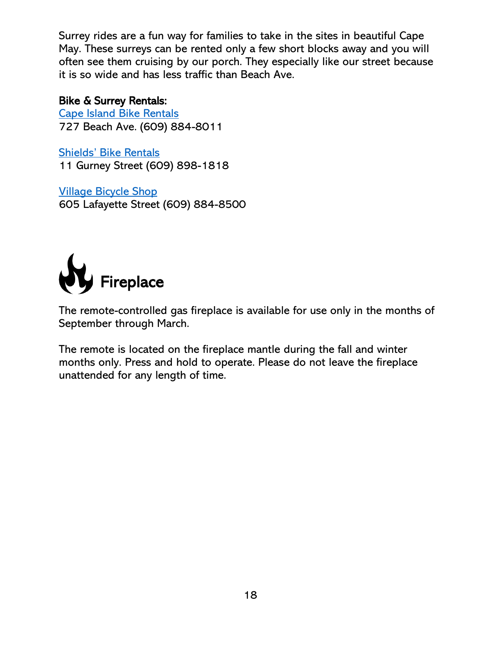Surrey rides are a fun way for families to take in the sites in beautiful Cape May. These surreys can be rented only a few short blocks away and you will often see them cruising by our porch. They especially like our street because it is so wide and has less traffic than Beach Ave.

#### Bike & Surrey Rentals:

[Cape Island Bike Rentals](http://capeislandbikeandbeachrentals.com/CapeIslandBikeAndBeachRentals.com/Welcome.html) 727 Beach Ave. (609) 884-8011

[Shields' Bike Rentals](https://shieldsbikerental.com/) 11 Gurney Street (609) 898-1818

[Village Bicycle Shop](http://www.villagebikescapemay.com/index.html) 605 Lafayette Street (609) 884-8500

<span id="page-17-0"></span>

The remote-controlled gas fireplace is available for use only in the months of September through March.

The remote is located on the fireplace mantle during the fall and winter months only. Press and hold to operate. Please do not leave the fireplace unattended for any length of time.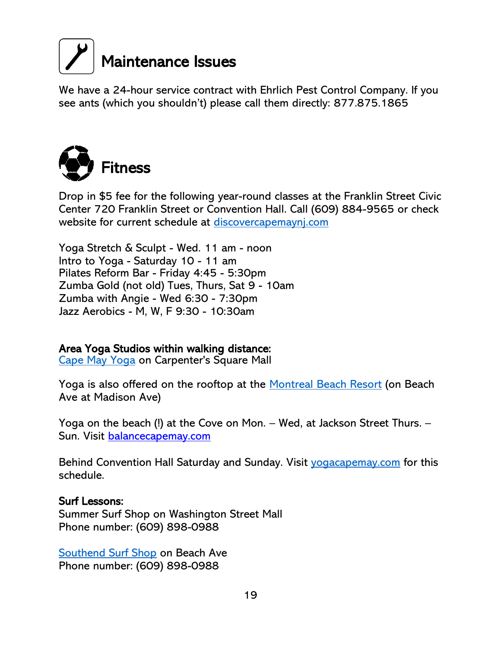<span id="page-18-0"></span>

We have a 24-hour service contract with Ehrlich Pest Control Company. If you see ants (which you shouldn't) please call them directly: 877.875.1865

<span id="page-18-1"></span>

Drop in \$5 fee for the following year-round classes at the Franklin Street Civic Center 720 Franklin Street or Convention Hall. Call (609) 884-9565 or check website for current schedule at discovercapemayni.com

Yoga Stretch & Sculpt - Wed. 11 am - noon Intro to Yoga - Saturday 10 - 11 am Pilates Reform Bar - Friday 4:45 - 5:30pm Zumba Gold (not old) Tues, Thurs, Sat 9 - 10am Zumba with Angie - Wed 6:30 - 7:30pm Jazz Aerobics - M, W, F 9:30 - 10:30am

#### Area Yoga Studios within walking distance:

[Cape May Yoga](http://www.capemayyoganj.com/) on Carpenter's Square Mall

Yoga is also offered on the rooftop at the [Montreal Beach Resort](https://www.montrealbeachresort.com/fitness-yoga-cape-may/) (on Beach Ave at Madison Ave)

Yoga on the beach (!) at the Cove on Mon. – Wed, at Jackson Street Thurs. – Sun. Visit [balancecapemay.com](http://balancecapemay.com/)

Behind Convention Hall Saturday and Sunday. Visit [yogacapemay.com](http://www.yogacapemay.com/) for this schedule.

#### Surf Lessons:

Summer Surf Shop on Washington Street Mall Phone number: (609) 898-0988

[Southend Surf Shop](http://www.southendsurf.com/) on Beach Ave Phone number: (609) 898-0988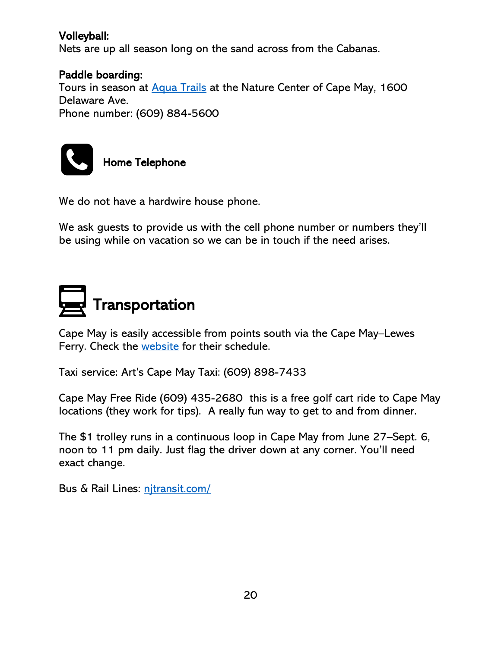#### Volleyball:

Nets are up all season long on the sand across from the Cabanas.

#### Paddle boarding:

Tours in season at [Aqua Trails](https://aquatrails.com/standuppaddleboardtour.php?Mobile=Off) at the Nature Center of Cape May, 1600 Delaware Ave. Phone number: (609) 884-5600



<span id="page-19-0"></span>Home Telephone

We do not have a hardwire house phone.

We ask guests to provide us with the cell phone number or numbers they'll be using while on vacation so we can be in touch if the need arises.

<span id="page-19-1"></span>

Cape May is easily accessible from points south via the Cape May–Lewes Ferry. Check the [website](https://www.cmlf.com/) for their schedule.

Taxi service: Art's Cape May Taxi: (609) 898-7433

Cape May Free Ride (609) 435-2680 this is a free golf cart ride to Cape May locations (they work for tips). A really fun way to get to and from dinner.

The \$1 trolley runs in a continuous loop in Cape May from June 27–Sept. 6, noon to 11 pm daily. Just flag the driver down at any corner. You'll need exact change.

Bus & Rail Lines: nitransit.com/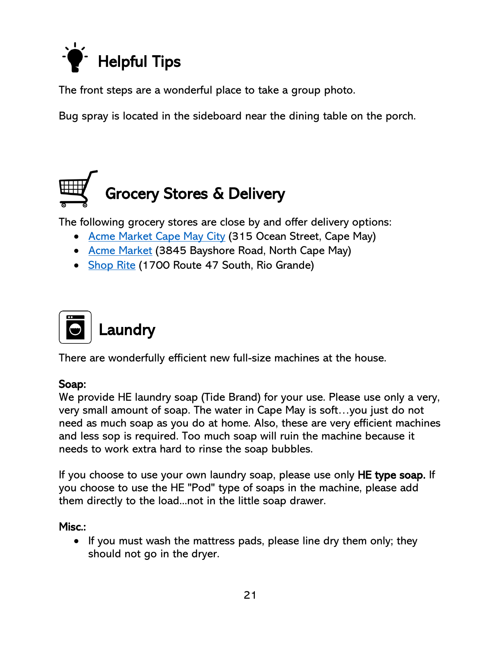<span id="page-20-0"></span>

The front steps are a wonderful place to take a group photo.

Bug spray is located in the sideboard near the dining table on the porch.

# <span id="page-20-1"></span>Grocery Stores & Delivery

The following grocery stores are close by and offer delivery options:

- [Acme Market Cape May City](https://local.acmemarkets.com/nj/cape-may/315-ocean-st.html) (315 Ocean Street, Cape May)
- [Acme Market](https://local.acmemarkets.com/nj/north-cape-may/3845-bayshore-rd.html) (3845 Bayshore Road, North Cape May)
- [Shop Rite](http://www.shoprite.com/pd/stores/NJ/Rio-Grande/ShopRite-of-Rio-Grande/CDB9800) (1700 Route 47 South, Rio Grande)

<span id="page-20-2"></span>

There are wonderfully efficient new full-size machines at the house.

#### Soap:

We provide HE laundry soap (Tide Brand) for your use. Please use only a very, very small amount of soap. The water in Cape May is soft…you just do not need as much soap as you do at home. Also, these are very efficient machines and less sop is required. Too much soap will ruin the machine because it needs to work extra hard to rinse the soap bubbles.

If you choose to use your own laundry soap, please use only HE type soap. If you choose to use the HE "Pod" type of soaps in the machine, please add them directly to the load...not in the little soap drawer.

Misc.:

• If you must wash the mattress pads, please line dry them only; they should not go in the dryer.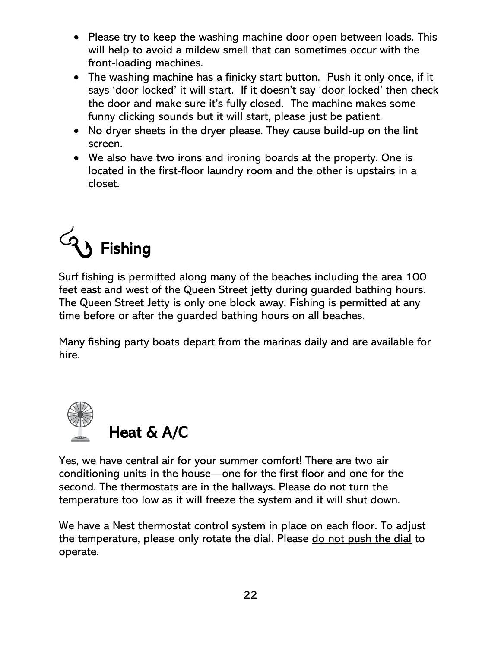- Please try to keep the washing machine door open between loads. This will help to avoid a mildew smell that can sometimes occur with the front-loading machines.
- The washing machine has a finicky start button. Push it only once, if it says 'door locked' it will start. If it doesn't say 'door locked' then check the door and make sure it's fully closed. The machine makes some funny clicking sounds but it will start, please just be patient.
- No dryer sheets in the dryer please. They cause build-up on the lint screen.
- We also have two irons and ironing boards at the property. One is located in the first-floor laundry room and the other is upstairs in a closet.

<span id="page-21-0"></span>

Surf fishing is permitted along many of the beaches including the area 100 feet east and west of the Queen Street jetty during guarded bathing hours. The Queen Street Jetty is only one block away. Fishing is permitted at any time before or after the guarded bathing hours on all beaches.

Many fishing party boats depart from the marinas daily and are available for hire.

<span id="page-21-1"></span>

Yes, we have central air for your summer comfort! There are two air conditioning units in the house—one for the first floor and one for the second. The thermostats are in the hallways. Please do not turn the temperature too low as it will freeze the system and it will shut down.

We have a Nest thermostat control system in place on each floor. To adjust the temperature, please only rotate the dial. Please do not push the dial to operate.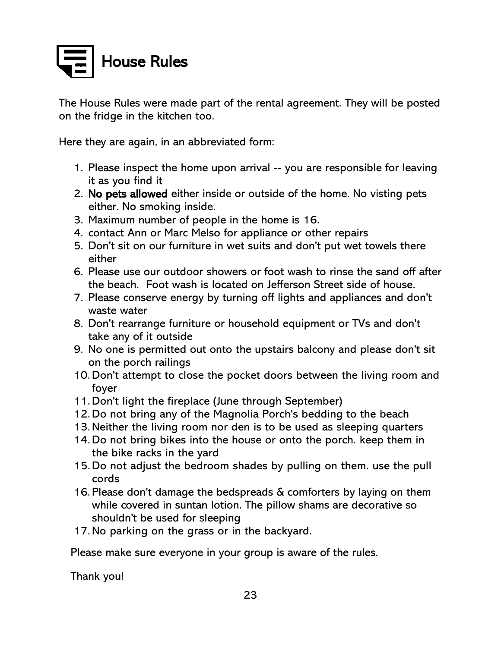<span id="page-22-0"></span>

The House Rules were made part of the rental agreement. They will be posted on the fridge in the kitchen too.

Here they are again, in an abbreviated form:

- 1. Please inspect the home upon arrival -- you are responsible for leaving it as you find it
- 2. No pets allowed either inside or outside of the home. No visting pets either. No smoking inside.
- 3. Maximum number of people in the home is 16.
- 4. contact Ann or Marc Melso for appliance or other repairs
- 5. Don't sit on our furniture in wet suits and don't put wet towels there either
- 6. Please use our outdoor showers or foot wash to rinse the sand off after the beach. Foot wash is located on Jefferson Street side of house.
- 7. Please conserve energy by turning off lights and appliances and don't waste water
- 8. Don't rearrange furniture or household equipment or TVs and don't take any of it outside
- 9. No one is permitted out onto the upstairs balcony and please don't sit on the porch railings
- 10.Don't attempt to close the pocket doors between the living room and foyer
- 11.Don't light the fireplace (June through September)
- 12.Do not bring any of the Magnolia Porch's bedding to the beach
- 13.Neither the living room nor den is to be used as sleeping quarters
- 14.Do not bring bikes into the house or onto the porch. keep them in the bike racks in the yard
- 15.Do not adjust the bedroom shades by pulling on them. use the pull cords
- 16. Please don't damage the bedspreads & comforters by laying on them while covered in suntan lotion. The pillow shams are decorative so shouldn't be used for sleeping
- 17.No parking on the grass or in the backyard.

Please make sure everyone in your group is aware of the rules.

Thank you!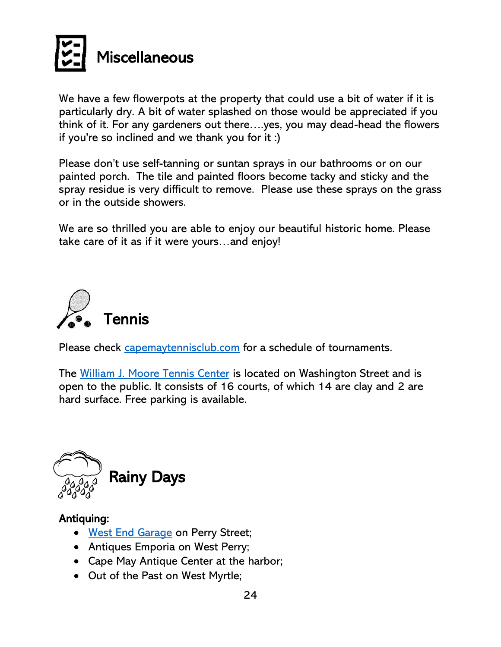<span id="page-23-0"></span>

We have a few flowerpots at the property that could use a bit of water if it is particularly dry. A bit of water splashed on those would be appreciated if you think of it. For any gardeners out there….yes, you may dead-head the flowers if you're so inclined and we thank you for it :)

Please don't use self-tanning or suntan sprays in our bathrooms or on our painted porch. The tile and painted floors become tacky and sticky and the spray residue is very difficult to remove. Please use these sprays on the grass or in the outside showers.

We are so thrilled you are able to enjoy our beautiful historic home. Please take care of it as if it were yours…and enjoy!

<span id="page-23-1"></span>

Please check [capemaytennisclub.com](http://www.capemaytennisclub.com/) for a schedule of tournaments.

The [William J. Moore Tennis Center](https://capemaytennisclub.com/) is located on Washington Street and is open to the public. It consists of 16 courts, of which 14 are clay and 2 are hard surface. Free parking is available.

<span id="page-23-2"></span>

#### Antiquing:

- [West End Garage](https://www.caperesorts.com/capemay/west-end-garage) on Perry Street;
- Antiques Emporia on West Perry;
- Cape May Antique Center at the harbor;
- Out of the Past on West Myrtle;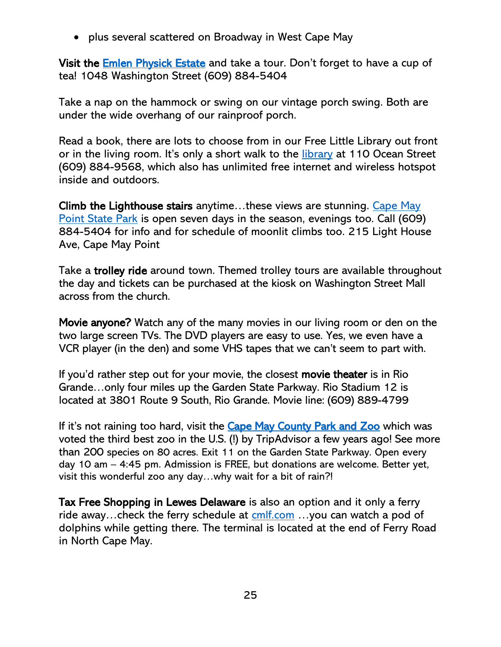• plus several scattered on Broadway in West Cape May

Visit the **Emlen Physick Estate** and take a tour. Don't forget to have a cup of tea! 1048 Washington Street (609) 884-5404

Take a nap on the hammock or swing on our vintage porch swing. Both are under the wide overhang of our rainproof porch.

Read a book, there are lots to choose from in our Free Little Library out front or in the living room. It's only a short walk to the [library](https://cmclibrary.org/) at 110 Ocean Street (609) 884-9568, which also has unlimited free internet and wireless hotspot inside and outdoors.

Climb the Lighthouse stairs anytime...these views are stunning. Cape May [Point State Park](https://www.state.nj.us/dep/parksandforests/parks/capemay.html) is open seven days in the season, evenings too. Call (609) 884-5404 for info and for schedule of moonlit climbs too. 215 Light House Ave, Cape May Point

Take a trolley ride around town. Themed trolley tours are available throughout the day and tickets can be purchased at the kiosk on Washington Street Mall across from the church.

Movie anyone? Watch any of the many movies in our living room or den on the two large screen TVs. The DVD players are easy to use. Yes, we even have a VCR player (in the den) and some VHS tapes that we can't seem to part with.

If you'd rather step out for your movie, the closest movie theater is in Rio Grande…only four miles up the Garden State Parkway. Rio Stadium 12 is located at 3801 Route 9 South, Rio Grande. Movie line: (609) 889-4799

If it's not raining too hard, visit the [Cape May County Park and Zoo](https://www.capemaycountynj.gov/1008/Park-Zoo) which was voted the third best zoo in the U.S. (!) by TripAdvisor a few years ago! See more than 200 species on 80 acres. Exit 11 on the Garden State Parkway. Open every day 10 am – 4:45 pm. Admission is FREE, but donations are welcome. Better yet, visit this wonderful zoo any day…why wait for a bit of rain?!

Tax Free Shopping in Lewes Delaware is also an option and it only a ferry ride away...check the ferry schedule at  $cmf.com$ ...you can watch a pod of dolphins while getting there. The terminal is located at the end of Ferry Road in North Cape May.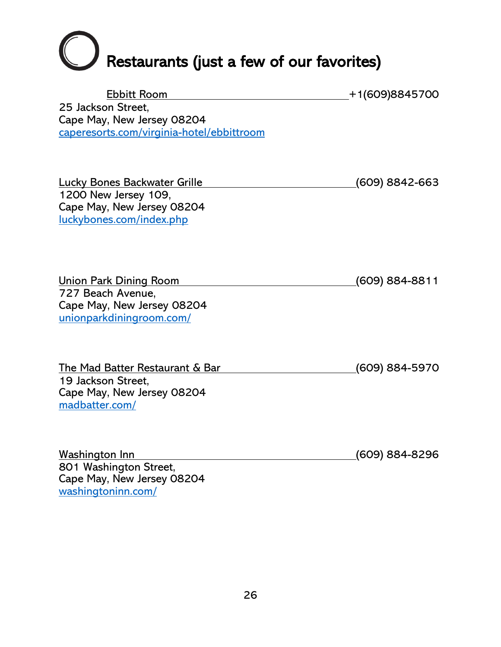# <span id="page-25-0"></span>**C** Restaurants (just a few of our favorites)

| <b>Ebbitt Room</b>                                     | +1(609)8845700         |
|--------------------------------------------------------|------------------------|
| 25 Jackson Street,                                     |                        |
| Cape May, New Jersey 08204                             |                        |
| caperesorts.com/virginia-hotel/ebbittroom              |                        |
|                                                        |                        |
|                                                        |                        |
| <b>Lucky Bones Backwater Grille</b>                    | <u>(</u> 609) 8842-663 |
| 1200 New Jersey 109,                                   |                        |
| Cape May, New Jersey 08204                             |                        |
| luckybones.com/index.php                               |                        |
|                                                        |                        |
|                                                        |                        |
|                                                        |                        |
| <u>Union Park Dining Room</u>                          | (609) 884-8811         |
| 727 Beach Avenue,                                      |                        |
| Cape May, New Jersey 08204<br>unionparkdiningroom.com/ |                        |
|                                                        |                        |
|                                                        |                        |
| <u>The Mad Batter Restaurant &amp; Bar</u>             | (609) 884-5970         |
| 19 Jackson Street,                                     |                        |
| Cape May, New Jersey 08204                             |                        |
| madbatter.com/                                         |                        |
|                                                        |                        |
|                                                        |                        |
| <u>Washington Inn</u>                                  | (609) 884-8296         |
| 801 Washington Street,                                 |                        |
| Cape May, New Jersey 08204                             |                        |
| washingtoninn.com/                                     |                        |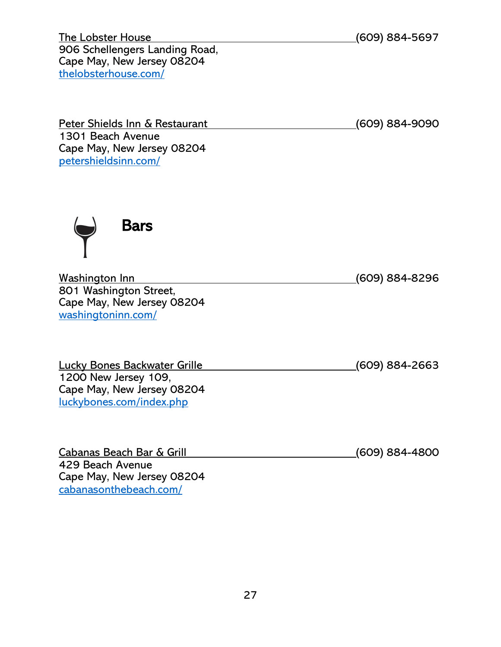The Lobster House (609) 884-5697 906 Schellengers Landing Road, Cape May, New Jersey 08204 [thelobsterhouse.com/](https://thelobsterhouse.com/)

Peter Shields Inn & Restaurant (609) 884-9090 1301 Beach Avenue Cape May, New Jersey 08204 [petershieldsinn.com/](https://www.petershieldsinn.com/)

<span id="page-26-0"></span>

Washington Inn (609) 884-8296 801 Washington Street, Cape May, New Jersey 08204 [washingtoninn.com/](http://www.washingtoninn.com/)

Lucky Bones Backwater Grille (609) 884-2663 1200 New Jersey 109, Cape May, New Jersey 08204 [luckybones.com/index.php](https://luckybones.com/index.php)

Cabanas Beach Bar & Grill (609) 884-4800 429 Beach Avenue Cape May, New Jersey 08204 [cabanasonthebeach.com/](http://www.cabanasonthebeach.com/)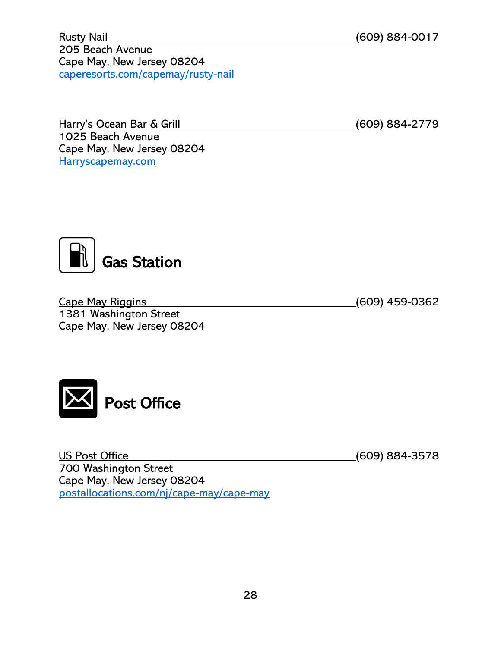Rusty Nail (609) 884-0017 205 Beach Avenue Cape May, New Jersey 08204 [caperesorts.com/capemay/rusty-nail](https://www.caperesorts.com/capemay/rusty-nail?from=05%2F18%2F2020&to=06%2F17%2F2020&categories=16)

Harry's Ocean Bar & Grill (609) 884-2779 1025 Beach Avenue Cape May, New Jersey 08204 [Harryscapemay.com](https://harryscapemay.com/)

<span id="page-27-0"></span>Gas Station

Cape May Riggins (609) 459-0362 1381 Washington Street Cape May, New Jersey 08204

<span id="page-27-1"></span>

US Post Office (609) 884-3578 700 Washington Street Cape May, New Jersey 08204 [postallocations.com/nj/cape-may/cape-may](https://www.postallocations.com/nj/cape-may/cape-may)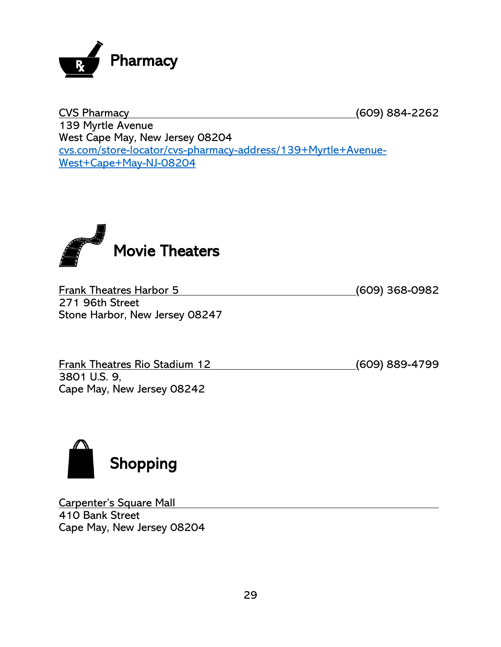<span id="page-28-0"></span>

CVS Pharmacy (609) 884-2262 139 Myrtle Avenue West Cape May, New Jersey 08204 [cvs.com/store-locator/cvs-pharmacy-address/139+Myrtle+Avenue-](https://www.cvs.com/store-locator/cvs-pharmacy-address/139+Myrtle+Avenue-West+Cape+May-NJ-08204/storeid=2014?WT.mc_id=LS_GOOGLE_FS_2014)[West+Cape+May-NJ-08204](https://www.cvs.com/store-locator/cvs-pharmacy-address/139+Myrtle+Avenue-West+Cape+May-NJ-08204/storeid=2014?WT.mc_id=LS_GOOGLE_FS_2014)

<span id="page-28-1"></span>

Frank Theatres Harbor 5 (609) 368-0982 271 96th Street Stone Harbor, New Jersey 08247

Frank Theatres Rio Stadium 12 (609) 889-4799 3801 U.S. 9, Cape May, New Jersey 08242

<span id="page-28-2"></span>

Carpenter's Square Mall 410 Bank Street Cape May, New Jersey 08204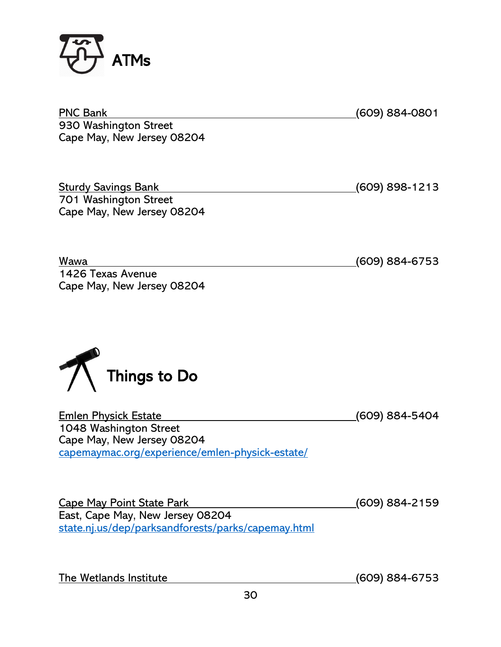<span id="page-29-0"></span>

<span id="page-29-1"></span>

| <b>PNC Bank</b><br>930 Washington Street<br>Cape May, New Jersey 08204                                                                 | (609) 884-0801         |
|----------------------------------------------------------------------------------------------------------------------------------------|------------------------|
| <b>Sturdy Savings Bank</b><br>701 Washington Street<br>Cape May, New Jersey 08204                                                      | (609) 898-1213         |
| Wawa<br>1426 Texas Avenue<br>Cape May, New Jersey 08204<br>Things to Do                                                                | (609) 884-6753         |
| <b>Emlen Physick Estate</b><br>1048 Washington Street<br>Cape May, New Jersey 08204<br>capemaymac.org/experience/emlen-physick-estate/ | (609) 884-5404         |
| <b>Cape May Point State Park</b><br>East, Cape May, New Jersey 08204<br>state.nj.us/dep/parksandforests/parks/capemay.html             | (609) 884-2159         |
| The Wetlands Institute                                                                                                                 | <u>(</u> 609) 884-6753 |

30